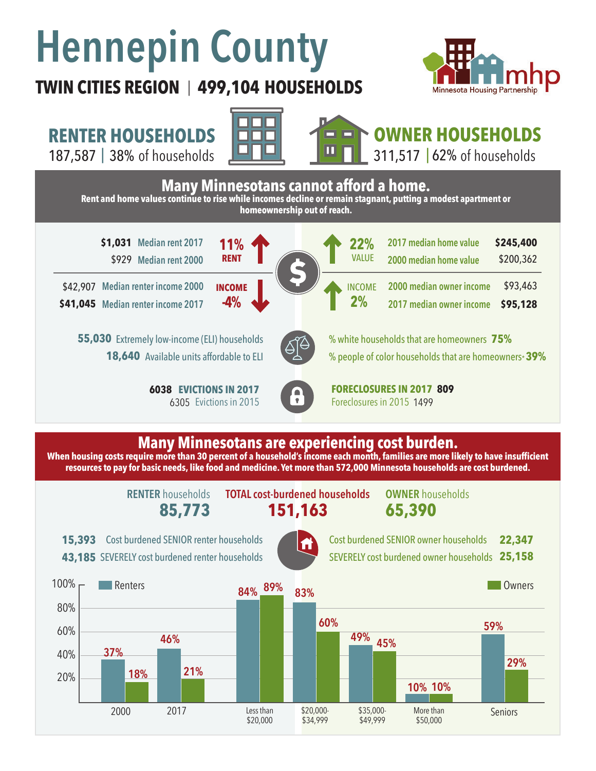# **Hennepin County**

**RENTER HOUSEHOLDS**

### **TWIN CITIES REGION 499,104 HOUSEHOLDS**  |







## **OWNER HOUSEHOLDS**



**When housing costs require more than 30 percent of a household's income each month, families are more likely to have insufficient resources to pay for basic needs, like food and medicine. Yet more than 572,000 Minnesota households are cost burdened.**